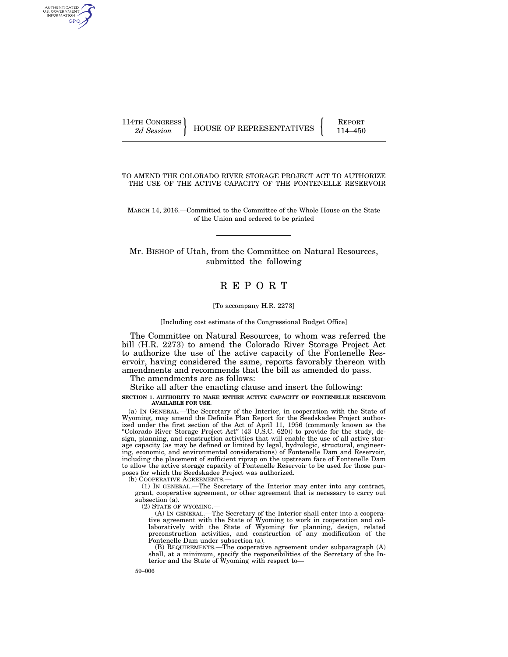AUTHENTICATED<br>U.S. GOVERNMENT<br>INFORMATION **GPO** 

114TH CONGRESS HOUSE OF REPRESENTATIVES **REPORT** 114–450

TO AMEND THE COLORADO RIVER STORAGE PROJECT ACT TO AUTHORIZE THE USE OF THE ACTIVE CAPACITY OF THE FONTENELLE RESERVOIR

MARCH 14, 2016.—Committed to the Committee of the Whole House on the State of the Union and ordered to be printed

Mr. BISHOP of Utah, from the Committee on Natural Resources, submitted the following

# R E P O R T

#### [To accompany H.R. 2273]

[Including cost estimate of the Congressional Budget Office]

The Committee on Natural Resources, to whom was referred the bill (H.R. 2273) to amend the Colorado River Storage Project Act to authorize the use of the active capacity of the Fontenelle Reservoir, having considered the same, reports favorably thereon with amendments and recommends that the bill as amended do pass.

The amendments are as follows:

Strike all after the enacting clause and insert the following:

**SECTION 1. AUTHORITY TO MAKE ENTIRE ACTIVE CAPACITY OF FONTENELLE RESERVOIR AVAILABLE FOR USE.** 

(a) IN GENERAL.—The Secretary of the Interior, in cooperation with the State of Wyoming, may amend the Definite Plan Report for the Seedskadee Project authorized under the first section of the Act of April 11, 1956 (commonly known as the ''Colorado River Storage Project Act'' (43 U.S.C. 620)) to provide for the study, design, planning, and construction activities that will enable the use of all active storage capacity (as may be defined or limited by legal, hydrologic, structural, engineering, economic, and environmental considerations) of Fontenelle Dam and Reservoir, including the placement of sufficient riprap on the upstream face of Fontenelle Dam to allow the active storage capacity of Fontenelle Reservoir to be used for those purposes for which the Seedskadee Project was authorized.

(b) COOPERATIVE AGREEMENTS.—

(1) IN GENERAL.—The Secretary of the Interior may enter into any contract, grant, cooperative agreement, or other agreement that is necessary to carry out subsection (a).

(2) STATE OF WYOMING.—

(A) IN GENERAL.—The Secretary of the Interior shall enter into a cooperative agreement with the State of Wyoming to work in cooperation and collaboratively with the State of Wyoming for planning, design, related preconstruction activities, and construction of any modification of the Fontenelle Dam under subsection (a).

(B) REQUIREMENTS.—The cooperative agreement under subparagraph (A) shall, at a minimum, specify the responsibilities of the Secretary of the Interior and the State of Wyoming with respect to—

59–006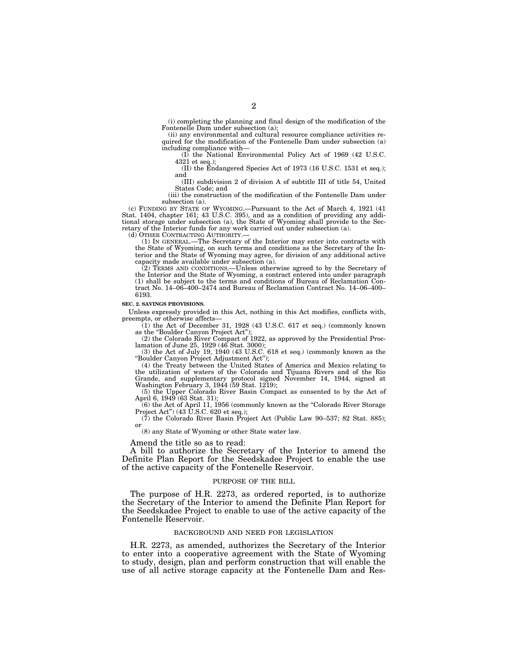(i) completing the planning and final design of the modification of the Fontenelle Dam under subsection (a);

(ii) any environmental and cultural resource compliance activities required for the modification of the Fontenelle Dam under subsection (a) including compliance with—

(I) the National Environmental Policy Act of 1969 (42 U.S.C. 4321 et seq.);

(II) the Endangered Species Act of 1973 (16 U.S.C. 1531 et seq.); and

(III) subdivision 2 of division A of subtitle III of title 54, United States Code; and

(iii) the construction of the modification of the Fontenelle Dam under subsection (a).

(c) FUNDING BY STATE OF WYOMING.—Pursuant to the Act of March 4, 1921 (41 Stat. 1404, chapter 161; 43 U.S.C. 395), and as a condition of providing any additional storage under subsection (a), the State of Wyoming shall provide to the Secretary of the Interior funds for any work carried out under subsection (a).

(d) OTHER CONTRACTING AUTHORITY.—

(1) IN GENERAL.—The Secretary of the Interior may enter into contracts with the State of Wyoming, on such terms and conditions as the Secretary of the Interior and the State of Wyoming may agree, for division of any additional active capacity made available under subsection (a).

(2) TERMS AND CONDITIONS.—Unless otherwise agreed to by the Secretary of the Interior and the State of Wyoming, a contract entered into under paragraph (1) shall be subject to the terms and conditions of Bureau of Reclamation Contract No. 14–06–400–2474 and Bureau of Reclamation Contract No. 14–06–400– 6193.

#### **SEC. 2. SAVINGS PROVISIONS.**

Unless expressly provided in this Act, nothing in this Act modifies, conflicts with, preempts, or otherwise affects—

(1) the Act of December 31, 1928 (43 U.S.C. 617 et seq.) (commonly known as the "Boulder Canyon Project Act");

(2) the Colorado River Compact of 1922, as approved by the Presidential Proclamation of June 25, 1929 (46 Stat. 3000);

(3) the Act of July 19, 1940 (43 U.S.C. 618 et seq.) (commonly known as the ''Boulder Canyon Project Adjustment Act'');

(4) the Treaty between the United States of America and Mexico relating to the utilization of waters of the Colorado and Tijuana Rivers and of the Rio Grande, and supplementary protocol signed November 14, 1944, signed at Washington February 3, 1944 (59 Stat. 1219);

(5) the Upper Colorado River Basin Compact as consented to by the Act of April 6, 1949<sup>(63 Stat. 31);</sup>

(6) the Act of April 11, 1956 (commonly known as the ''Colorado River Storage Project Act'') (43 U.S.C. 620 et seq.);

(7) the Colorado River Basin Project Act (Public Law 90–537; 82 Stat. 885); or

(8) any State of Wyoming or other State water law.

Amend the title so as to read:

A bill to authorize the Secretary of the Interior to amend the Definite Plan Report for the Seedskadee Project to enable the use of the active capacity of the Fontenelle Reservoir.

#### PURPOSE OF THE BILL

The purpose of H.R. 2273, as ordered reported, is to authorize the Secretary of the Interior to amend the Definite Plan Report for the Seedskadee Project to enable to use of the active capacity of the Fontenelle Reservoir.

#### BACKGROUND AND NEED FOR LEGISLATION

H.R. 2273, as amended, authorizes the Secretary of the Interior to enter into a cooperative agreement with the State of Wyoming to study, design, plan and perform construction that will enable the use of all active storage capacity at the Fontenelle Dam and Res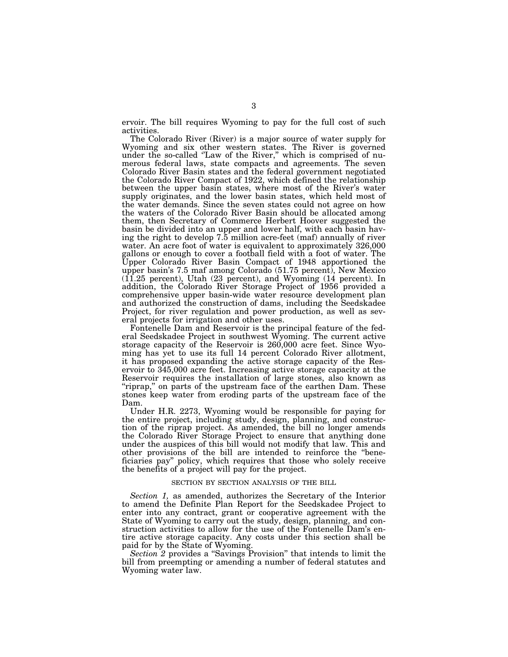ervoir. The bill requires Wyoming to pay for the full cost of such activities.

The Colorado River (River) is a major source of water supply for Wyoming and six other western states. The River is governed under the so-called "Law of the River," which is comprised of numerous federal laws, state compacts and agreements. The seven Colorado River Basin states and the federal government negotiated the Colorado River Compact of 1922, which defined the relationship between the upper basin states, where most of the River's water supply originates, and the lower basin states, which held most of the water demands. Since the seven states could not agree on how the waters of the Colorado River Basin should be allocated among them, then Secretary of Commerce Herbert Hoover suggested the basin be divided into an upper and lower half, with each basin having the right to develop 7.5 million acre-feet (maf) annually of river water. An acre foot of water is equivalent to approximately 326,000 gallons or enough to cover a football field with a foot of water. The Upper Colorado River Basin Compact of 1948 apportioned the upper basin's 7.5 maf among Colorado (51.75 percent), New Mexico (11.25 percent), Utah (23 percent), and Wyoming (14 percent). In addition, the Colorado River Storage Project of 1956 provided a comprehensive upper basin-wide water resource development plan and authorized the construction of dams, including the Seedskadee Project, for river regulation and power production, as well as several projects for irrigation and other uses.

Fontenelle Dam and Reservoir is the principal feature of the federal Seedskadee Project in southwest Wyoming. The current active storage capacity of the Reservoir is 260,000 acre feet. Since Wyoming has yet to use its full 14 percent Colorado River allotment, it has proposed expanding the active storage capacity of the Reservoir to 345,000 acre feet. Increasing active storage capacity at the Reservoir requires the installation of large stones, also known as "riprap," on parts of the upstream face of the earthen Dam. These stones keep water from eroding parts of the upstream face of the Dam.

Under H.R. 2273, Wyoming would be responsible for paying for the entire project, including study, design, planning, and construction of the riprap project. As amended, the bill no longer amends the Colorado River Storage Project to ensure that anything done under the auspices of this bill would not modify that law. This and other provisions of the bill are intended to reinforce the ''beneficiaries pay'' policy, which requires that those who solely receive the benefits of a project will pay for the project.

## SECTION BY SECTION ANALYSIS OF THE BILL

*Section 1,* as amended, authorizes the Secretary of the Interior to amend the Definite Plan Report for the Seedskadee Project to enter into any contract, grant or cooperative agreement with the State of Wyoming to carry out the study, design, planning, and construction activities to allow for the use of the Fontenelle Dam's entire active storage capacity. Any costs under this section shall be paid for by the State of Wyoming.

*Section 2* provides a ''Savings Provision'' that intends to limit the bill from preempting or amending a number of federal statutes and Wyoming water law.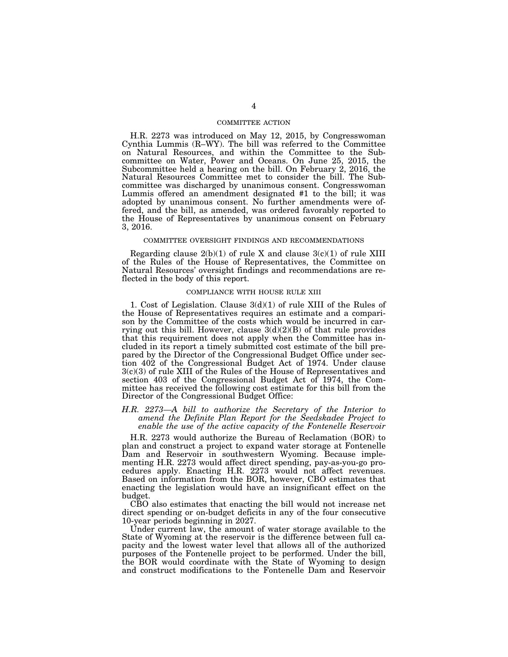## COMMITTEE ACTION

H.R. 2273 was introduced on May 12, 2015, by Congresswoman Cynthia Lummis (R–WY). The bill was referred to the Committee on Natural Resources, and within the Committee to the Subcommittee on Water, Power and Oceans. On June 25, 2015, the Subcommittee held a hearing on the bill. On February 2, 2016, the Natural Resources Committee met to consider the bill. The Subcommittee was discharged by unanimous consent. Congresswoman Lummis offered an amendment designated #1 to the bill; it was adopted by unanimous consent. No further amendments were offered, and the bill, as amended, was ordered favorably reported to the House of Representatives by unanimous consent on February 3, 2016.

### COMMITTEE OVERSIGHT FINDINGS AND RECOMMENDATIONS

Regarding clause  $2(b)(1)$  of rule X and clause  $3(c)(1)$  of rule XIII of the Rules of the House of Representatives, the Committee on Natural Resources' oversight findings and recommendations are reflected in the body of this report.

#### COMPLIANCE WITH HOUSE RULE XIII

1. Cost of Legislation. Clause 3(d)(1) of rule XIII of the Rules of the House of Representatives requires an estimate and a comparison by the Committee of the costs which would be incurred in carrying out this bill. However, clause  $3(d)(2)(B)$  of that rule provides that this requirement does not apply when the Committee has included in its report a timely submitted cost estimate of the bill prepared by the Director of the Congressional Budget Office under section 402 of the Congressional Budget Act of 1974. Under clause 3(c)(3) of rule XIII of the Rules of the House of Representatives and section 403 of the Congressional Budget Act of 1974, the Committee has received the following cost estimate for this bill from the Director of the Congressional Budget Office:

## *H.R. 2273—A bill to authorize the Secretary of the Interior to amend the Definite Plan Report for the Seedskadee Project to enable the use of the active capacity of the Fontenelle Reservoir*

H.R. 2273 would authorize the Bureau of Reclamation (BOR) to plan and construct a project to expand water storage at Fontenelle Dam and Reservoir in southwestern Wyoming. Because implementing H.R. 2273 would affect direct spending, pay-as-you-go procedures apply. Enacting H.R. 2273 would not affect revenues. Based on information from the BOR, however, CBO estimates that enacting the legislation would have an insignificant effect on the budget.

CBO also estimates that enacting the bill would not increase net direct spending or on-budget deficits in any of the four consecutive 10-year periods beginning in 2027.

Under current law, the amount of water storage available to the State of Wyoming at the reservoir is the difference between full capacity and the lowest water level that allows all of the authorized purposes of the Fontenelle project to be performed. Under the bill, the BOR would coordinate with the State of Wyoming to design and construct modifications to the Fontenelle Dam and Reservoir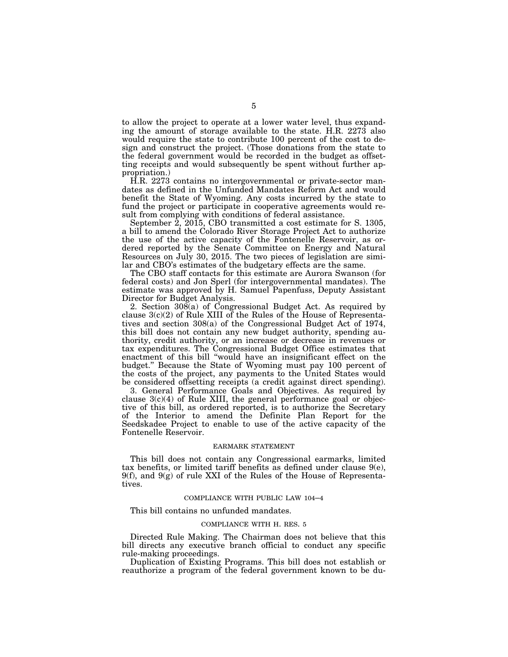to allow the project to operate at a lower water level, thus expanding the amount of storage available to the state. H.R. 2273 also would require the state to contribute 100 percent of the cost to design and construct the project. (Those donations from the state to the federal government would be recorded in the budget as offsetting receipts and would subsequently be spent without further appropriation.)

H.R. 2273 contains no intergovernmental or private-sector mandates as defined in the Unfunded Mandates Reform Act and would benefit the State of Wyoming. Any costs incurred by the state to fund the project or participate in cooperative agreements would result from complying with conditions of federal assistance.

September 2, 2015, CBO transmitted a cost estimate for S. 1305, a bill to amend the Colorado River Storage Project Act to authorize the use of the active capacity of the Fontenelle Reservoir, as ordered reported by the Senate Committee on Energy and Natural Resources on July 30, 2015. The two pieces of legislation are similar and CBO's estimates of the budgetary effects are the same.

The CBO staff contacts for this estimate are Aurora Swanson (for federal costs) and Jon Sperl (for intergovernmental mandates). The estimate was approved by H. Samuel Papenfuss, Deputy Assistant Director for Budget Analysis.

2. Section 308(a) of Congressional Budget Act. As required by clause 3(c)(2) of Rule XIII of the Rules of the House of Representatives and section 308(a) of the Congressional Budget Act of 1974, this bill does not contain any new budget authority, spending authority, credit authority, or an increase or decrease in revenues or tax expenditures. The Congressional Budget Office estimates that enactment of this bill ''would have an insignificant effect on the budget.'' Because the State of Wyoming must pay 100 percent of the costs of the project, any payments to the United States would be considered offsetting receipts (a credit against direct spending).

3. General Performance Goals and Objectives. As required by clause  $3(c)(4)$  of Rule XIII, the general performance goal or objective of this bill, as ordered reported, is to authorize the Secretary of the Interior to amend the Definite Plan Report for the Seedskadee Project to enable to use of the active capacity of the Fontenelle Reservoir.

#### EARMARK STATEMENT

This bill does not contain any Congressional earmarks, limited tax benefits, or limited tariff benefits as defined under clause  $9(e)$ ,  $9(f)$ , and  $9(g)$  of rule XXI of the Rules of the House of Representatives.

### COMPLIANCE WITH PUBLIC LAW 104–4

This bill contains no unfunded mandates.

#### COMPLIANCE WITH H. RES. 5

Directed Rule Making. The Chairman does not believe that this bill directs any executive branch official to conduct any specific rule-making proceedings.

Duplication of Existing Programs. This bill does not establish or reauthorize a program of the federal government known to be du-